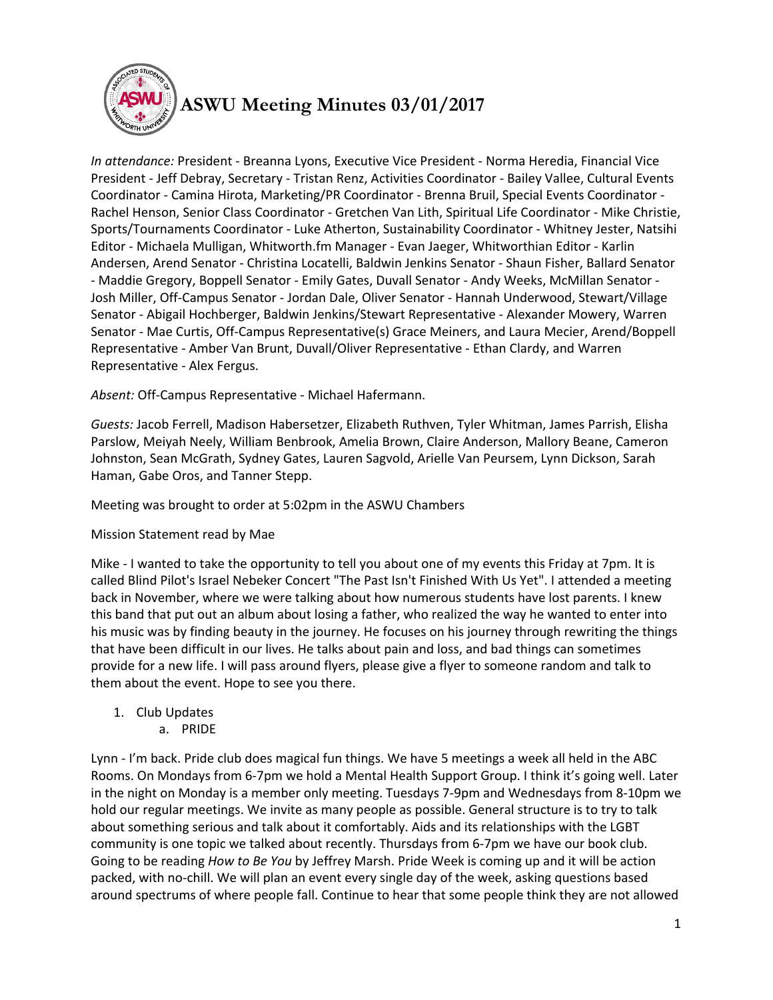

## **ASWU Meeting Minutes 03/01/2017**

*In attendance:* President - Breanna Lyons, Executive Vice President - Norma Heredia, Financial Vice President - Jeff Debray, Secretary - Tristan Renz, Activities Coordinator - Bailey Vallee, Cultural Events Coordinator - Camina Hirota, Marketing/PR Coordinator - Brenna Bruil, Special Events Coordinator - Rachel Henson, Senior Class Coordinator - Gretchen Van Lith, Spiritual Life Coordinator - Mike Christie, Sports/Tournaments Coordinator - Luke Atherton, Sustainability Coordinator - Whitney Jester, Natsihi Editor - Michaela Mulligan, Whitworth.fm Manager - Evan Jaeger, Whitworthian Editor - Karlin Andersen, Arend Senator - Christina Locatelli, Baldwin Jenkins Senator - Shaun Fisher, Ballard Senator - Maddie Gregory, Boppell Senator - Emily Gates, Duvall Senator - Andy Weeks, McMillan Senator - Josh Miller, Off-Campus Senator - Jordan Dale, Oliver Senator - Hannah Underwood, Stewart/Village Senator - Abigail Hochberger, Baldwin Jenkins/Stewart Representative - Alexander Mowery, Warren Senator - Mae Curtis, Off-Campus Representative(s) Grace Meiners, and Laura Mecier, Arend/Boppell Representative - Amber Van Brunt, Duvall/Oliver Representative - Ethan Clardy, and Warren Representative - Alex Fergus.

*Absent:* Off-Campus Representative - Michael Hafermann.

*Guests:* Jacob Ferrell, Madison Habersetzer, Elizabeth Ruthven, Tyler Whitman, James Parrish, Elisha Parslow, Meiyah Neely, William Benbrook, Amelia Brown, Claire Anderson, Mallory Beane, Cameron Johnston, Sean McGrath, Sydney Gates, Lauren Sagvold, Arielle Van Peursem, Lynn Dickson, Sarah Haman, Gabe Oros, and Tanner Stepp.

Meeting was brought to order at 5:02pm in the ASWU Chambers

## Mission Statement read by Mae

Mike - I wanted to take the opportunity to tell you about one of my events this Friday at 7pm. It is called Blind Pilot's Israel Nebeker Concert "The Past Isn't Finished With Us Yet". I attended a meeting back in November, where we were talking about how numerous students have lost parents. I knew this band that put out an album about losing a father, who realized the way he wanted to enter into his music was by finding beauty in the journey. He focuses on his journey through rewriting the things that have been difficult in our lives. He talks about pain and loss, and bad things can sometimes provide for a new life. I will pass around flyers, please give a flyer to someone random and talk to them about the event. Hope to see you there.

- 1. Club Updates
	- a. PRIDE

Lynn - I'm back. Pride club does magical fun things. We have 5 meetings a week all held in the ABC Rooms. On Mondays from 6-7pm we hold a Mental Health Support Group. I think it's going well. Later in the night on Monday is a member only meeting. Tuesdays 7-9pm and Wednesdays from 8-10pm we hold our regular meetings. We invite as many people as possible. General structure is to try to talk about something serious and talk about it comfortably. Aids and its relationships with the LGBT community is one topic we talked about recently. Thursdays from 6-7pm we have our book club. Going to be reading *How to Be You* by Jeffrey Marsh. Pride Week is coming up and it will be action packed, with no-chill. We will plan an event every single day of the week, asking questions based around spectrums of where people fall. Continue to hear that some people think they are not allowed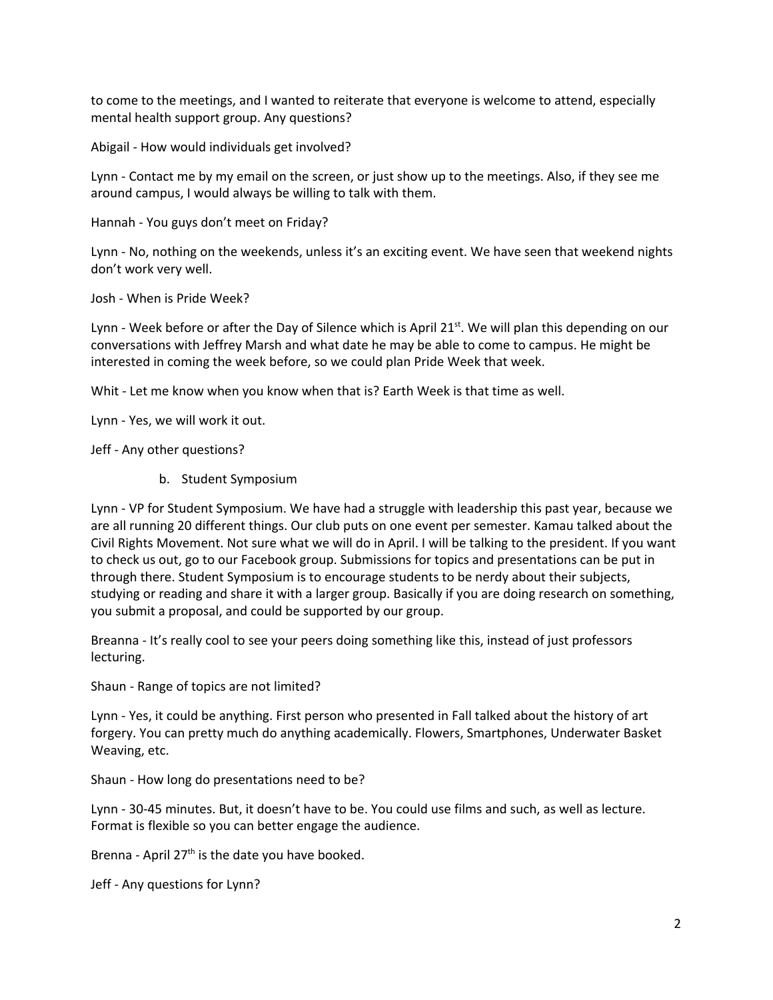to come to the meetings, and I wanted to reiterate that everyone is welcome to attend, especially mental health support group. Any questions?

Abigail - How would individuals get involved?

Lynn - Contact me by my email on the screen, or just show up to the meetings. Also, if they see me around campus, I would always be willing to talk with them.

Hannah - You guys don't meet on Friday?

Lynn - No, nothing on the weekends, unless it's an exciting event. We have seen that weekend nights don't work very well.

Josh - When is Pride Week?

Lynn - Week before or after the Day of Silence which is April  $21^{st}$ . We will plan this depending on our conversations with Jeffrey Marsh and what date he may be able to come to campus. He might be interested in coming the week before, so we could plan Pride Week that week.

Whit - Let me know when you know when that is? Earth Week is that time as well.

Lynn - Yes, we will work it out.

Jeff - Any other questions?

b. Student Symposium

Lynn - VP for Student Symposium. We have had a struggle with leadership this past year, because we are all running 20 different things. Our club puts on one event per semester. Kamau talked about the Civil Rights Movement. Not sure what we will do in April. I will be talking to the president. If you want to check us out, go to our Facebook group. Submissions for topics and presentations can be put in through there. Student Symposium is to encourage students to be nerdy about their subjects, studying or reading and share it with a larger group. Basically if you are doing research on something, you submit a proposal, and could be supported by our group.

Breanna - It's really cool to see your peers doing something like this, instead of just professors lecturing.

Shaun - Range of topics are not limited?

Lynn - Yes, it could be anything. First person who presented in Fall talked about the history of art forgery. You can pretty much do anything academically. Flowers, Smartphones, Underwater Basket Weaving, etc.

Shaun - How long do presentations need to be?

Lynn - 30-45 minutes. But, it doesn't have to be. You could use films and such, as well as lecture. Format is flexible so you can better engage the audience.

Brenna - April  $27<sup>th</sup>$  is the date you have booked.

Jeff - Any questions for Lynn?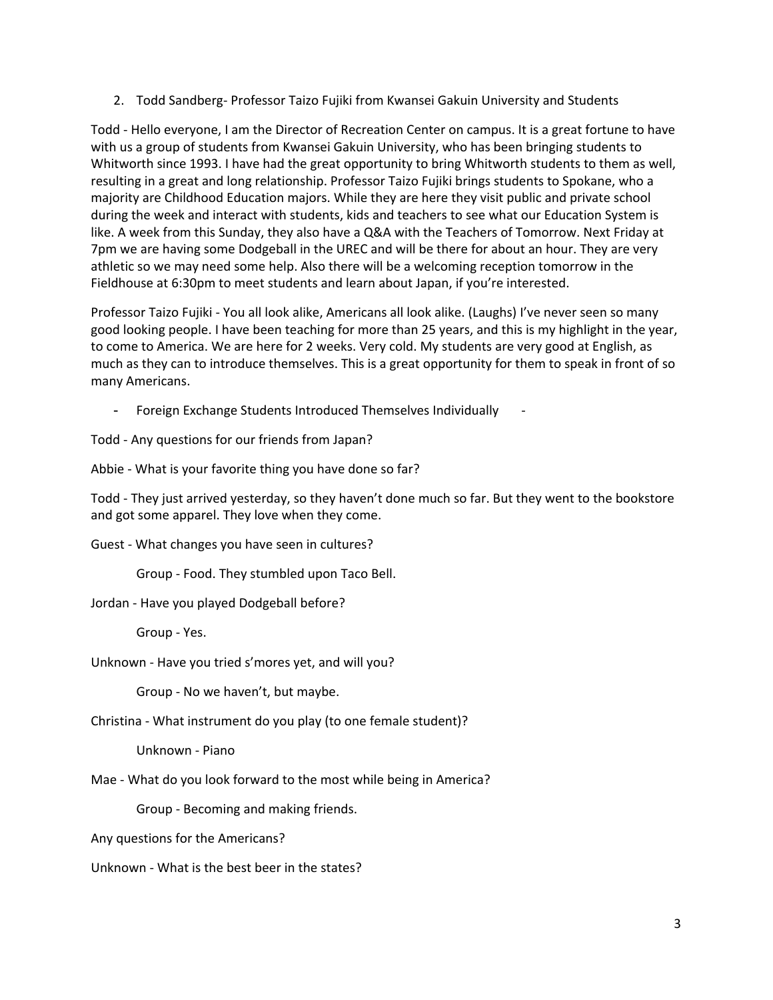2. Todd Sandberg- Professor Taizo Fujiki from Kwansei Gakuin University and Students

Todd - Hello everyone, I am the Director of Recreation Center on campus. It is a great fortune to have with us a group of students from Kwansei Gakuin University, who has been bringing students to Whitworth since 1993. I have had the great opportunity to bring Whitworth students to them as well, resulting in a great and long relationship. Professor Taizo Fujiki brings students to Spokane, who a majority are Childhood Education majors. While they are here they visit public and private school during the week and interact with students, kids and teachers to see what our Education System is like. A week from this Sunday, they also have a Q&A with the Teachers of Tomorrow. Next Friday at 7pm we are having some Dodgeball in the UREC and will be there for about an hour. They are very athletic so we may need some help. Also there will be a welcoming reception tomorrow in the Fieldhouse at 6:30pm to meet students and learn about Japan, if you're interested.

Professor Taizo Fujiki - You all look alike, Americans all look alike. (Laughs) I've never seen so many good looking people. I have been teaching for more than 25 years, and this is my highlight in the year, to come to America. We are here for 2 weeks. Very cold. My students are very good at English, as much as they can to introduce themselves. This is a great opportunity for them to speak in front of so many Americans.

- Foreign Exchange Students Introduced Themselves Individually -

Todd - Any questions for our friends from Japan?

Abbie - What is your favorite thing you have done so far?

Todd - They just arrived yesterday, so they haven't done much so far. But they went to the bookstore and got some apparel. They love when they come.

Guest - What changes you have seen in cultures?

Group - Food. They stumbled upon Taco Bell.

Jordan - Have you played Dodgeball before?

Group - Yes.

Unknown - Have you tried s'mores yet, and will you?

Group - No we haven't, but maybe.

Christina - What instrument do you play (to one female student)?

Unknown - Piano

Mae - What do you look forward to the most while being in America?

Group - Becoming and making friends.

Any questions for the Americans?

Unknown - What is the best beer in the states?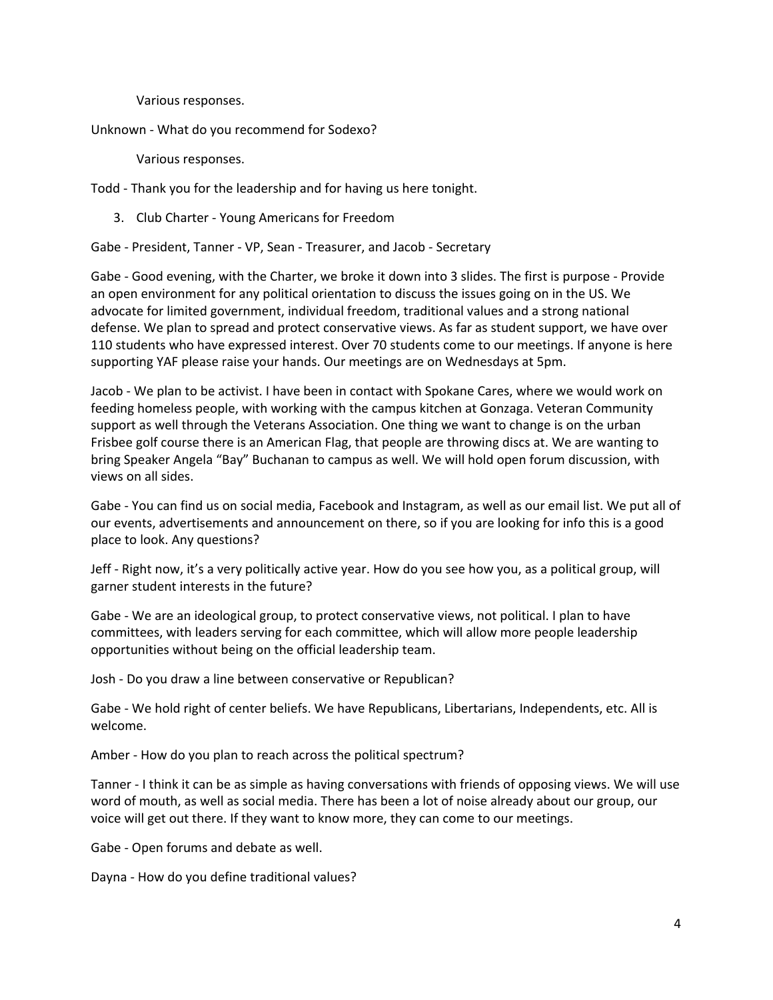Various responses.

Unknown - What do you recommend for Sodexo?

Various responses.

Todd - Thank you for the leadership and for having us here tonight.

3. Club Charter - Young Americans for Freedom

Gabe - President, Tanner - VP, Sean - Treasurer, and Jacob - Secretary

Gabe - Good evening, with the Charter, we broke it down into 3 slides. The first is purpose - Provide an open environment for any political orientation to discuss the issues going on in the US. We advocate for limited government, individual freedom, traditional values and a strong national defense. We plan to spread and protect conservative views. As far as student support, we have over 110 students who have expressed interest. Over 70 students come to our meetings. If anyone is here supporting YAF please raise your hands. Our meetings are on Wednesdays at 5pm.

Jacob - We plan to be activist. I have been in contact with Spokane Cares, where we would work on feeding homeless people, with working with the campus kitchen at Gonzaga. Veteran Community support as well through the Veterans Association. One thing we want to change is on the urban Frisbee golf course there is an American Flag, that people are throwing discs at. We are wanting to bring Speaker Angela "Bay" Buchanan to campus as well. We will hold open forum discussion, with views on all sides.

Gabe - You can find us on social media, Facebook and Instagram, as well as our email list. We put all of our events, advertisements and announcement on there, so if you are looking for info this is a good place to look. Any questions?

Jeff - Right now, it's a very politically active year. How do you see how you, as a political group, will garner student interests in the future?

Gabe - We are an ideological group, to protect conservative views, not political. I plan to have committees, with leaders serving for each committee, which will allow more people leadership opportunities without being on the official leadership team.

Josh - Do you draw a line between conservative or Republican?

Gabe - We hold right of center beliefs. We have Republicans, Libertarians, Independents, etc. All is welcome.

Amber - How do you plan to reach across the political spectrum?

Tanner - I think it can be as simple as having conversations with friends of opposing views. We will use word of mouth, as well as social media. There has been a lot of noise already about our group, our voice will get out there. If they want to know more, they can come to our meetings.

Gabe - Open forums and debate as well.

Dayna - How do you define traditional values?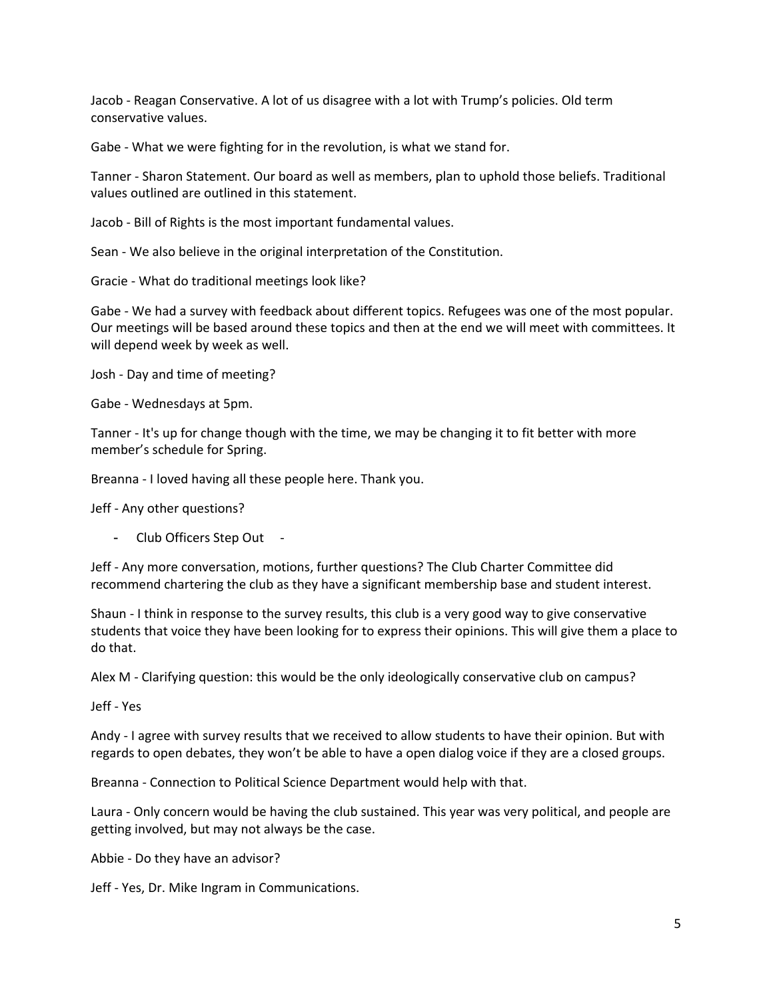Jacob - Reagan Conservative. A lot of us disagree with a lot with Trump's policies. Old term conservative values.

Gabe - What we were fighting for in the revolution, is what we stand for.

Tanner - Sharon Statement. Our board as well as members, plan to uphold those beliefs. Traditional values outlined are outlined in this statement.

Jacob - Bill of Rights is the most important fundamental values.

Sean - We also believe in the original interpretation of the Constitution.

Gracie - What do traditional meetings look like?

Gabe - We had a survey with feedback about different topics. Refugees was one of the most popular. Our meetings will be based around these topics and then at the end we will meet with committees. It will depend week by week as well.

Josh - Day and time of meeting?

Gabe - Wednesdays at 5pm.

Tanner - It's up for change though with the time, we may be changing it to fit better with more member's schedule for Spring.

Breanna - I loved having all these people here. Thank you.

Jeff - Any other questions?

- Club Officers Step Out -

Jeff - Any more conversation, motions, further questions? The Club Charter Committee did recommend chartering the club as they have a significant membership base and student interest.

Shaun - I think in response to the survey results, this club is a very good way to give conservative students that voice they have been looking for to express their opinions. This will give them a place to do that.

Alex M - Clarifying question: this would be the only ideologically conservative club on campus?

Jeff - Yes

Andy - I agree with survey results that we received to allow students to have their opinion. But with regards to open debates, they won't be able to have a open dialog voice if they are a closed groups.

Breanna - Connection to Political Science Department would help with that.

Laura - Only concern would be having the club sustained. This year was very political, and people are getting involved, but may not always be the case.

Abbie - Do they have an advisor?

Jeff - Yes, Dr. Mike Ingram in Communications.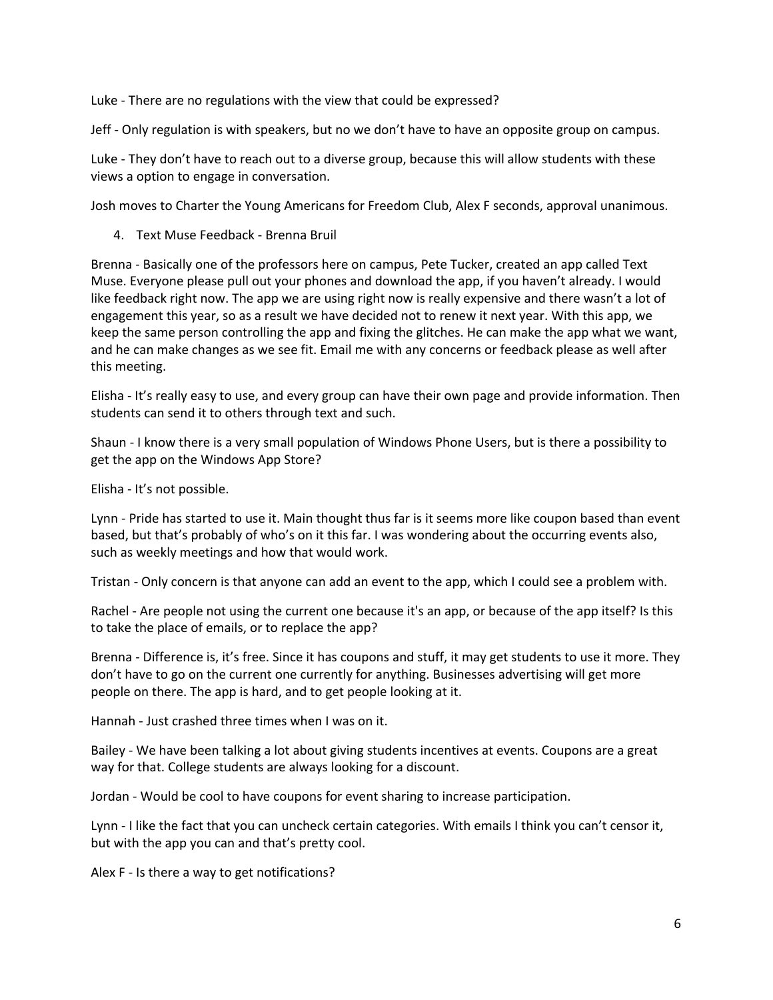Luke - There are no regulations with the view that could be expressed?

Jeff - Only regulation is with speakers, but no we don't have to have an opposite group on campus.

Luke - They don't have to reach out to a diverse group, because this will allow students with these views a option to engage in conversation.

Josh moves to Charter the Young Americans for Freedom Club, Alex F seconds, approval unanimous.

4. Text Muse Feedback - Brenna Bruil

Brenna - Basically one of the professors here on campus, Pete Tucker, created an app called Text Muse. Everyone please pull out your phones and download the app, if you haven't already. I would like feedback right now. The app we are using right now is really expensive and there wasn't a lot of engagement this year, so as a result we have decided not to renew it next year. With this app, we keep the same person controlling the app and fixing the glitches. He can make the app what we want, and he can make changes as we see fit. Email me with any concerns or feedback please as well after this meeting.

Elisha - It's really easy to use, and every group can have their own page and provide information. Then students can send it to others through text and such.

Shaun - I know there is a very small population of Windows Phone Users, but is there a possibility to get the app on the Windows App Store?

Elisha - It's not possible.

Lynn - Pride has started to use it. Main thought thus far is it seems more like coupon based than event based, but that's probably of who's on it this far. I was wondering about the occurring events also, such as weekly meetings and how that would work.

Tristan - Only concern is that anyone can add an event to the app, which I could see a problem with.

Rachel - Are people not using the current one because it's an app, or because of the app itself? Is this to take the place of emails, or to replace the app?

Brenna - Difference is, it's free. Since it has coupons and stuff, it may get students to use it more. They don't have to go on the current one currently for anything. Businesses advertising will get more people on there. The app is hard, and to get people looking at it.

Hannah - Just crashed three times when I was on it.

Bailey - We have been talking a lot about giving students incentives at events. Coupons are a great way for that. College students are always looking for a discount.

Jordan - Would be cool to have coupons for event sharing to increase participation.

Lynn - I like the fact that you can uncheck certain categories. With emails I think you can't censor it, but with the app you can and that's pretty cool.

Alex F - Is there a way to get notifications?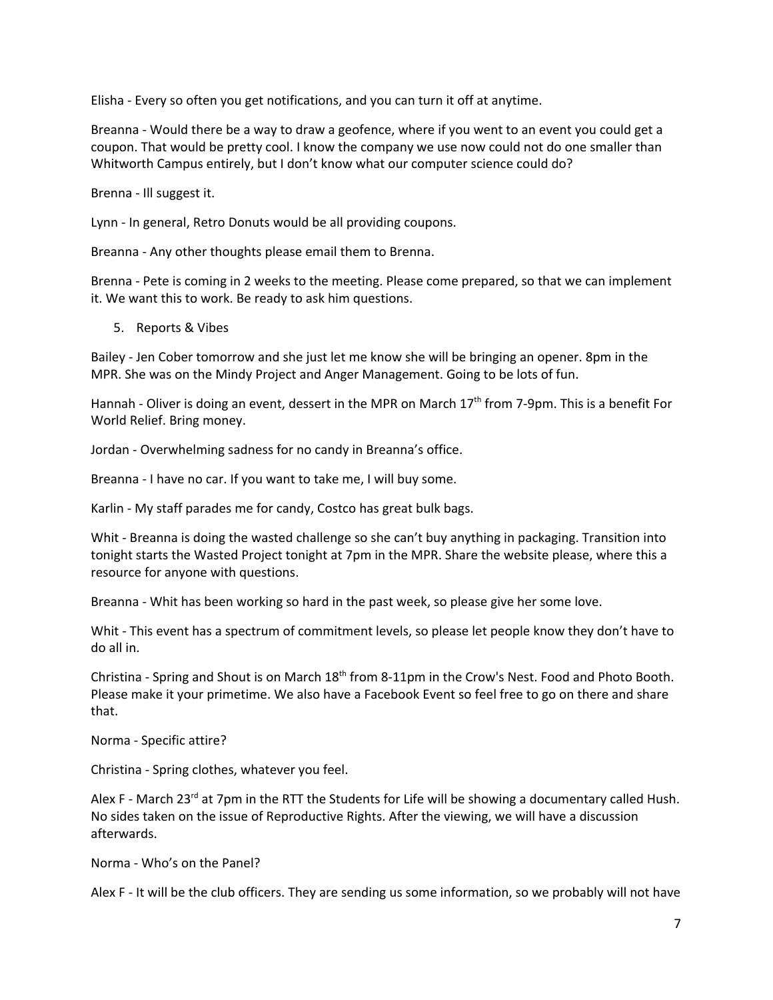Elisha - Every so often you get notifications, and you can turn it off at anytime.

Breanna - Would there be a way to draw a geofence, where if you went to an event you could get a coupon. That would be pretty cool. I know the company we use now could not do one smaller than Whitworth Campus entirely, but I don't know what our computer science could do?

Brenna - Ill suggest it.

Lynn - In general, Retro Donuts would be all providing coupons.

Breanna - Any other thoughts please email them to Brenna.

Brenna - Pete is coming in 2 weeks to the meeting. Please come prepared, so that we can implement it. We want this to work. Be ready to ask him questions.

5. Reports & Vibes

Bailey - Jen Cober tomorrow and she just let me know she will be bringing an opener. 8pm in the MPR. She was on the Mindy Project and Anger Management. Going to be lots of fun.

Hannah - Oliver is doing an event, dessert in the MPR on March  $17<sup>th</sup>$  from 7-9pm. This is a benefit For World Relief. Bring money.

Jordan - Overwhelming sadness for no candy in Breanna's office.

Breanna - I have no car. If you want to take me, I will buy some.

Karlin - My staff parades me for candy, Costco has great bulk bags.

Whit - Breanna is doing the wasted challenge so she can't buy anything in packaging. Transition into tonight starts the Wasted Project tonight at 7pm in the MPR. Share the website please, where this a resource for anyone with questions.

Breanna - Whit has been working so hard in the past week, so please give her some love.

Whit - This event has a spectrum of commitment levels, so please let people know they don't have to do all in.

Christina - Spring and Shout is on March 18<sup>th</sup> from 8-11pm in the Crow's Nest. Food and Photo Booth. Please make it your primetime. We also have a Facebook Event so feel free to go on there and share that.

Norma - Specific attire?

Christina - Spring clothes, whatever you feel.

Alex F - March 23<sup>rd</sup> at 7pm in the RTT the Students for Life will be showing a documentary called Hush. No sides taken on the issue of Reproductive Rights. After the viewing, we will have a discussion afterwards.

Norma - Who's on the Panel?

Alex F - It will be the club officers. They are sending us some information, so we probably will not have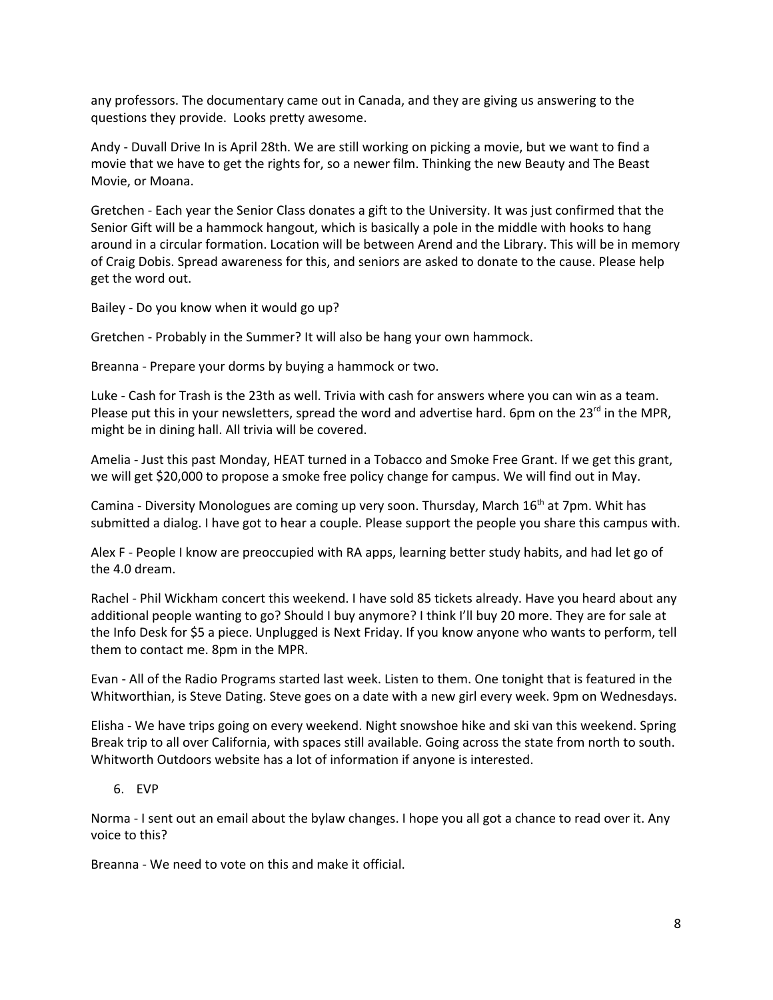any professors. The documentary came out in Canada, and they are giving us answering to the questions they provide. Looks pretty awesome.

Andy - Duvall Drive In is April 28th. We are still working on picking a movie, but we want to find a movie that we have to get the rights for, so a newer film. Thinking the new Beauty and The Beast Movie, or Moana.

Gretchen - Each year the Senior Class donates a gift to the University. It was just confirmed that the Senior Gift will be a hammock hangout, which is basically a pole in the middle with hooks to hang around in a circular formation. Location will be between Arend and the Library. This will be in memory of Craig Dobis. Spread awareness for this, and seniors are asked to donate to the cause. Please help get the word out.

Bailey - Do you know when it would go up?

Gretchen - Probably in the Summer? It will also be hang your own hammock.

Breanna - Prepare your dorms by buying a hammock or two.

Luke - Cash for Trash is the 23th as well. Trivia with cash for answers where you can win as a team. Please put this in your newsletters, spread the word and advertise hard. 6pm on the 23<sup>rd</sup> in the MPR, might be in dining hall. All trivia will be covered.

Amelia - Just this past Monday, HEAT turned in a Tobacco and Smoke Free Grant. If we get this grant, we will get \$20,000 to propose a smoke free policy change for campus. We will find out in May.

Camina - Diversity Monologues are coming up very soon. Thursday, March 16<sup>th</sup> at 7pm. Whit has submitted a dialog. I have got to hear a couple. Please support the people you share this campus with.

Alex F - People I know are preoccupied with RA apps, learning better study habits, and had let go of the 4.0 dream.

Rachel - Phil Wickham concert this weekend. I have sold 85 tickets already. Have you heard about any additional people wanting to go? Should I buy anymore? I think I'll buy 20 more. They are for sale at the Info Desk for \$5 a piece. Unplugged is Next Friday. If you know anyone who wants to perform, tell them to contact me. 8pm in the MPR.

Evan - All of the Radio Programs started last week. Listen to them. One tonight that is featured in the Whitworthian, is Steve Dating. Steve goes on a date with a new girl every week. 9pm on Wednesdays.

Elisha - We have trips going on every weekend. Night snowshoe hike and ski van this weekend. Spring Break trip to all over California, with spaces still available. Going across the state from north to south. Whitworth Outdoors website has a lot of information if anyone is interested.

## 6. EVP

Norma - I sent out an email about the bylaw changes. I hope you all got a chance to read over it. Any voice to this?

Breanna - We need to vote on this and make it official.